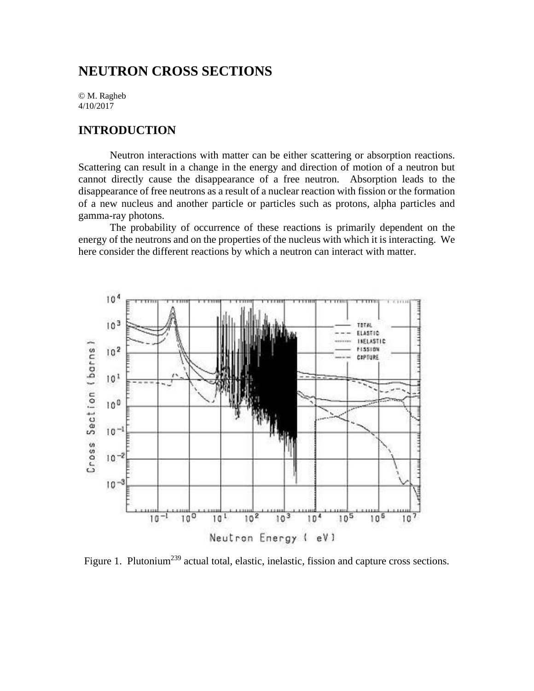## **NEUTRON CROSS SECTIONS**

© M. Ragheb 4/10/2017

### **INTRODUCTION**

Neutron interactions with matter can be either scattering or absorption reactions. Scattering can result in a change in the energy and direction of motion of a neutron but cannot directly cause the disappearance of a free neutron. Absorption leads to the disappearance of free neutrons as a result of a nuclear reaction with fission or the formation of a new nucleus and another particle or particles such as protons, alpha particles and gamma-ray photons.

The probability of occurrence of these reactions is primarily dependent on the energy of the neutrons and on the properties of the nucleus with which it is interacting. We here consider the different reactions by which a neutron can interact with matter.



Figure 1. Plutonium<sup>239</sup> actual total, elastic, inelastic, fission and capture cross sections.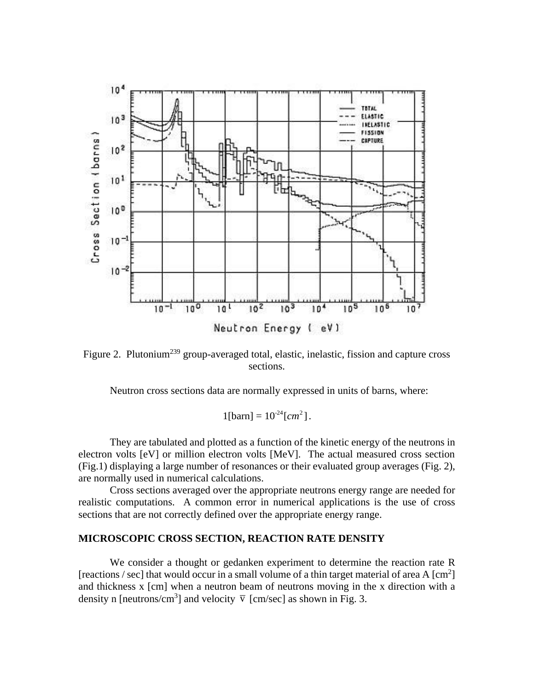

Figure 2. Plutonium<sup>239</sup> group-averaged total, elastic, inelastic, fission and capture cross sections.

Neutron cross sections data are normally expressed in units of barns, where:

$$
1[\text{barn}] = 10^{-24} [cm^2].
$$

They are tabulated and plotted as a function of the kinetic energy of the neutrons in electron volts [eV] or million electron volts [MeV]. The actual measured cross section (Fig.1) displaying a large number of resonances or their evaluated group averages (Fig. 2), are normally used in numerical calculations.

Cross sections averaged over the appropriate neutrons energy range are needed for realistic computations. A common error in numerical applications is the use of cross sections that are not correctly defined over the appropriate energy range.

#### **MICROSCOPIC CROSS SECTION, REACTION RATE DENSITY**

We consider a thought or gedanken experiment to determine the reaction rate R [reactions / sec] that would occur in a small volume of a thin target material of area A  $\text{[cm}^2\text{]}$ and thickness x [cm] when a neutron beam of neutrons moving in the x direction with a density n [neutrons/cm<sup>3</sup>] and velocity  $\bar{v}$  [cm/sec] as shown in Fig. 3.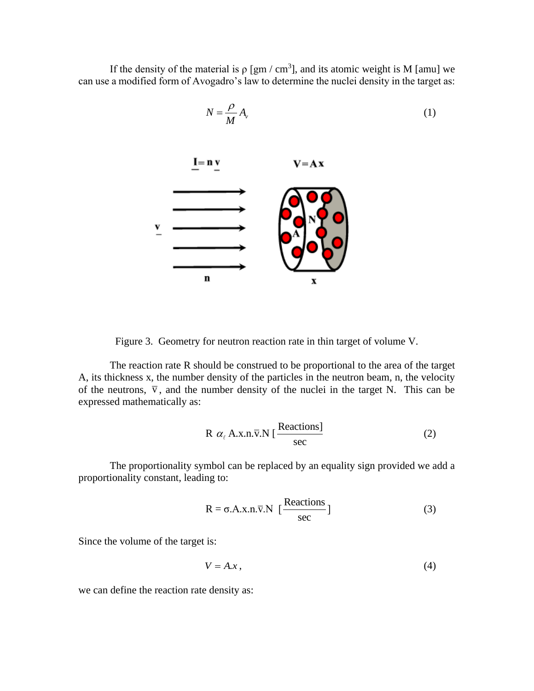If the density of the material is  $\rho$  [gm / cm<sup>3</sup>], and its atomic weight is M [amu] we can use a modified form of Avogadro's law to determine the nuclei density in the target as:



(1)

Figure 3. Geometry for neutron reaction rate in thin target of volume V.

The reaction rate R should be construed to be proportional to the area of the target A, its thickness x, the number density of the particles in the neutron beam, n, the velocity of the neutrons,  $\overline{v}$ , and the number density of the nuclei in the target N. This can be expressed mathematically as:

$$
R \alpha_{\ell} A.x.n.\overline{v}.N \left[ \frac{\text{Reactions}}{\text{sec}} \right]
$$
 (2)

The proportionality symbol can be replaced by an equality sign provided we add a proportionality constant, leading to:

$$
R = \sigma.A.x.n.\overline{v}.N \left[ \frac{Reactions}{sec} \right]
$$
 (3)

Since the volume of the target is:

$$
V = A \mathbf{.} x \tag{4}
$$

we can define the reaction rate density as: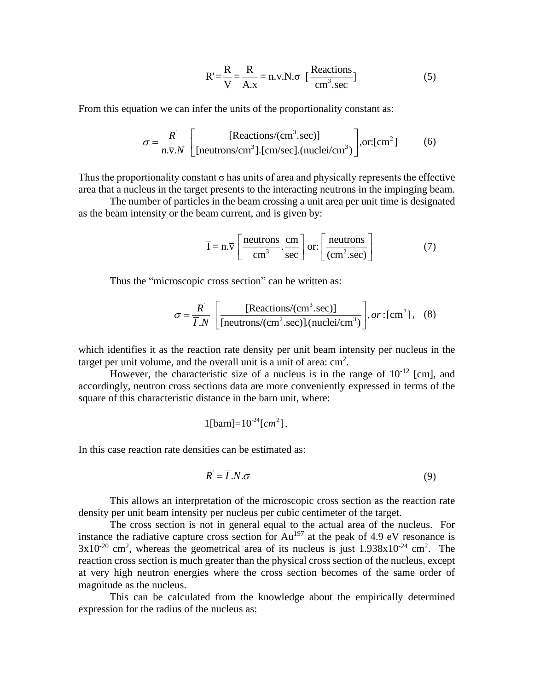$$
R' = \frac{R}{V} = \frac{R}{A.x} = n.\overline{v}.N.\sigma \quad \left[\frac{\text{Reactions}}{\text{cm}^3.\text{sec}}\right]
$$
 (5)

From this equation we can infer the units of the proportionality constant as:  
\n
$$
\sigma = \frac{R^{\prime}}{n.\overline{v}.N} \left[ \frac{[Reactions/(cm^3.sec)]}{[neutrons/cm^3][cm/sec] \cdot (nuclei/cm^3)} \right], or:[cm^2]
$$
\n(6)

Thus the proportionality constant  $\sigma$  has units of area and physically represents the effective area that a nucleus in the target presents to the interacting neutrons in the impinging beam.

The number of particles in the beam crossing a unit area per unit time is designated as the beam intensity or the beam current, and is given by:

$$
\overline{I} = n.\overline{v} \left[ \frac{\text{neutrons}}{\text{cm}^3} \cdot \frac{\text{cm}}{\text{sec}} \right] \text{or:} \left[ \frac{\text{neutrons}}{\text{(cm}^2 \cdot \text{sec})} \right] \tag{7}
$$

Thus the "microscopic cross section" can be written as:  
\n
$$
\sigma = \frac{R}{\overline{I}.N} \left[ \frac{\text{[Reactions/(cm3.sec)]}}{\text{[neutrons/(cm2.sec)]} \cdot (\text{nuclei/cm3})} \right], or : [\text{cm}2], (8)
$$

which identifies it as the reaction rate density per unit beam intensity per nucleus in the target per unit volume, and the overall unit is a unit of area:  $\text{cm}^2$ .

However, the characteristic size of a nucleus is in the range of  $10^{-12}$  [cm], and accordingly, neutron cross sections data are more conveniently expressed in terms of the square of this characteristic distance in the barn unit, where:

$$
1
$$
[barn]= $10^{-24}$ [cm<sup>2</sup>].

In this case reaction rate densities can be estimated as:

$$
R' = \overline{I}.N.\sigma \tag{9}
$$

This allows an interpretation of the microscopic cross section as the reaction rate density per unit beam intensity per nucleus per cubic centimeter of the target.

The cross section is not in general equal to the actual area of the nucleus. For instance the radiative capture cross section for  $Au^{197}$  at the peak of 4.9 eV resonance is  $3x10^{-20}$  cm<sup>2</sup>, whereas the geometrical area of its nucleus is just  $1.938x10^{-24}$  cm<sup>2</sup>. The reaction cross section is much greater than the physical cross section of the nucleus, except at very high neutron energies where the cross section becomes of the same order of magnitude as the nucleus.

This can be calculated from the knowledge about the empirically determined expression for the radius of the nucleus as: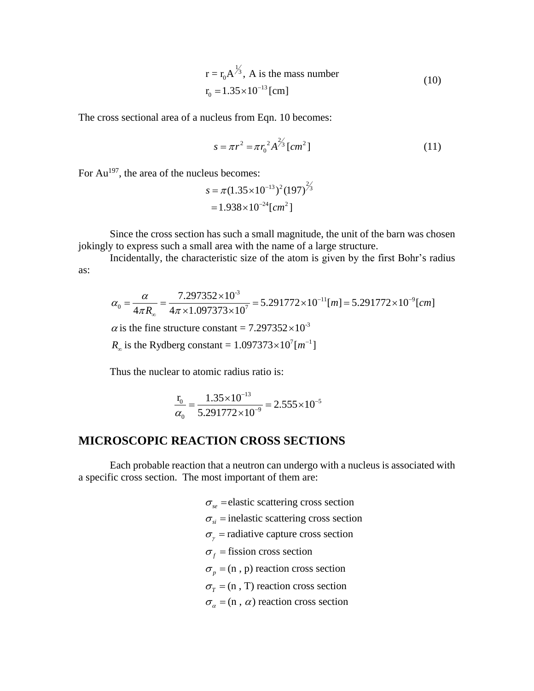$$
r = r_0 A^{\frac{1}{3}}, A \text{ is the mass number}
$$
  

$$
r_0 = 1.35 \times 10^{-13} \text{ [cm]}
$$
 (10)

The cross sectional area of a nucleus from Eqn. 10 becomes:

$$
s = \pi r^2 = \pi r_0^2 A^{\frac{2}{3}} [cm^2]
$$
 (11)

For  $Au^{197}$ , the area of the nucleus becomes:

$$
s = \pi (1.35 \times 10^{-13})^2 (197)^{2/3}
$$
  
= 1.938 \times 10^{-24} [cm<sup>2</sup>]

Since the cross section has such a small magnitude, the unit of the barn was chosen jokingly to express such a small area with the name of a large structure.

as:

Incidentally, the characteristic size of the atom is given by the first Bohr's radius  
\n
$$
\alpha_0 = \frac{\alpha}{4\pi R_\infty} = \frac{7.297352 \times 10^{-3}}{4\pi \times 1.097373 \times 10^7} = 5.291772 \times 10^{-11} [m] = 5.291772 \times 10^{-9} [cm]
$$
\n
$$
\alpha
$$
 is the fine structure constant = 7.297352×10<sup>-3</sup>  
\n
$$
R_\infty
$$
 is the Rydberg constant = 1.097373×10<sup>7</sup> [m<sup>-1</sup>]

 $\alpha$  is the fine structure constant = 7.297352 $\times$ 

 $\times 10^{-3}$ <br> $\frac{7}{1}$  [m<sup>-1</sup>  $\overline{a}$  $\omega$  is the Rydberg constant = 1.097373 $\times$ 

Thus the nuclear to atomic radius ratio is:

$$
\frac{r_0}{\alpha_0} = \frac{1.35 \times 10^{-13}}{5.291772 \times 10^{-9}} = 2.555 \times 10^{-5}
$$

### **MICROSCOPIC REACTION CROSS SECTIONS**

Each probable reaction that a neutron can undergo with a nucleus is associated with a specific cross section. The most important of them are:

> $\sigma_{se}$  = elastic scattering cross section  $\sigma_{si}$  = inelastic scattering cross section  $\sigma_{\gamma}$  = radiative capture cross section  $\sigma_f$  = fission cross section  $\sigma_p$  = (n, p) reaction cross section  $\sigma_T$  = (n, T) reaction cross section  $\sigma_{\alpha}$  = (n,  $\alpha$ ) reaction cross section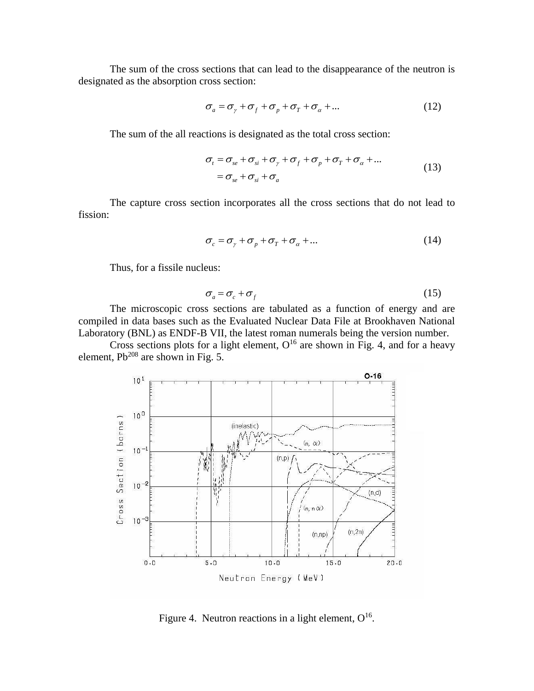The sum of the cross sections that can lead to the disappearance of the neutron is designated as the absorption cross section:

$$
\sigma_a = \sigma_{\gamma} + \sigma_{f} + \sigma_{p} + \sigma_{r} + \sigma_{\alpha} + \dots \qquad (12)
$$

The sum of the all reactions is designated as the total cross section:

$$
\sigma_t = \sigma_{se} + \sigma_{si} + \sigma_{\gamma} + \sigma_f + \sigma_p + \sigma_\tau + \sigma_\alpha + \dots
$$
  
= 
$$
\sigma_{se} + \sigma_{si} + \sigma_a
$$
 (13)

The capture cross section incorporates all the cross sections that do not lead to fission:

$$
\sigma_c = \sigma_{\gamma} + \sigma_p + \sigma_{\tau} + \sigma_{\alpha} + \dots \tag{14}
$$

Thus, for a fissile nucleus:

$$
\sigma_a = \sigma_c + \sigma_f \tag{15}
$$

The microscopic cross sections are tabulated as a function of energy and are compiled in data bases such as the Evaluated Nuclear Data File at Brookhaven National Laboratory (BNL) as ENDF-B VII, the latest roman numerals being the version number.

Cross sections plots for a light element,  $O^{16}$  are shown in Fig. 4, and for a heavy element,  $Pb^{208}$  are shown in Fig. 5.



Figure 4. Neutron reactions in a light element,  $O^{16}$ .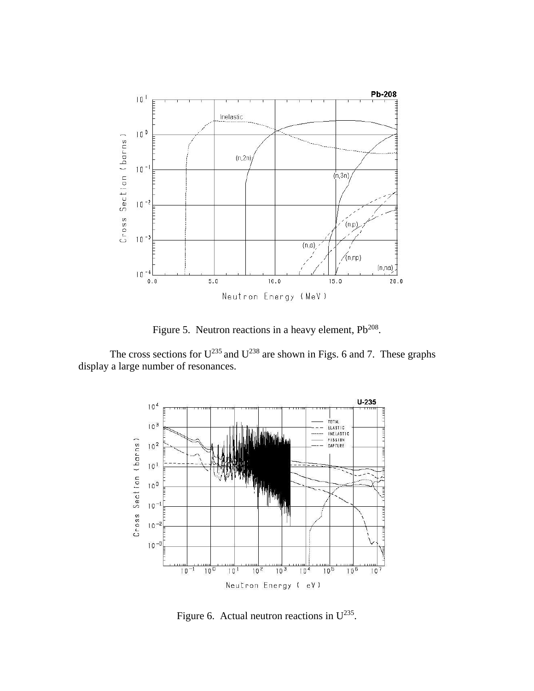

Figure 5. Neutron reactions in a heavy element,  $Pb^{208}$ .

The cross sections for  $U^{235}$  and  $U^{238}$  are shown in Figs. 6 and 7. These graphs display a large number of resonances.



Figure 6. Actual neutron reactions in  $U^{235}$ .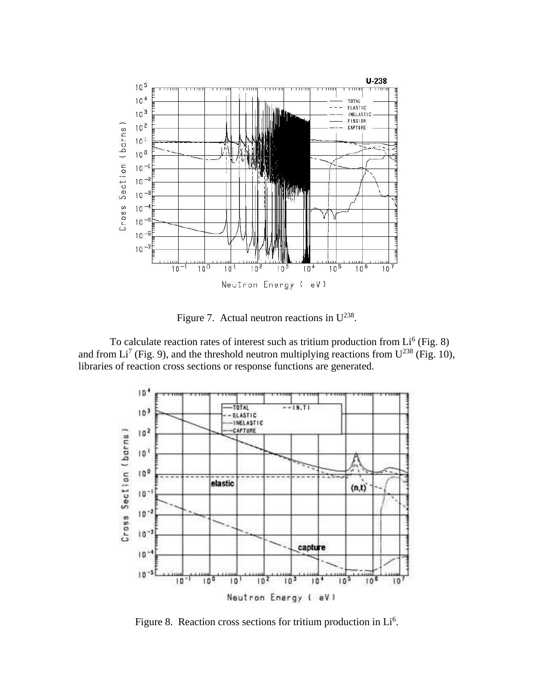

Figure 7. Actual neutron reactions in  $U^{238}$ .

To calculate reaction rates of interest such as tritium production from  $Li<sup>6</sup>$  (Fig. 8) and from Li<sup>7</sup> (Fig. 9), and the threshold neutron multiplying reactions from  $U^{238}$  (Fig. 10), libraries of reaction cross sections or response functions are generated.



Figure 8. Reaction cross sections for tritium production in  $Li<sup>6</sup>$ .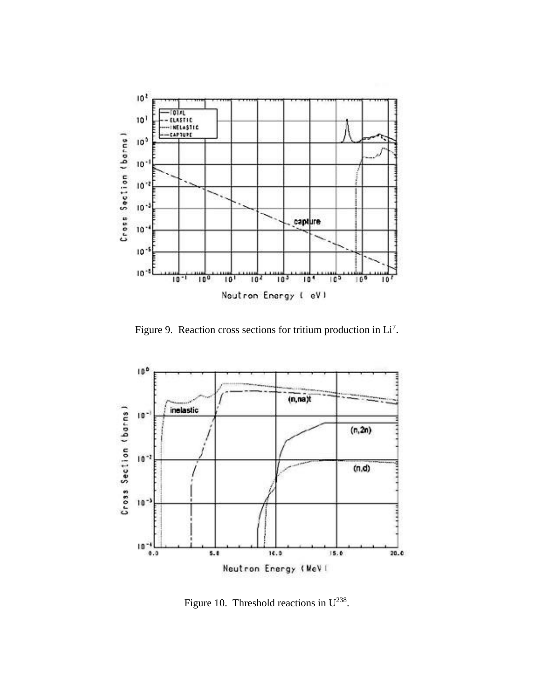

Figure 9. Reaction cross sections for tritium production in  $Li<sup>7</sup>$ .



Figure 10. Threshold reactions in  $U^{238}$ .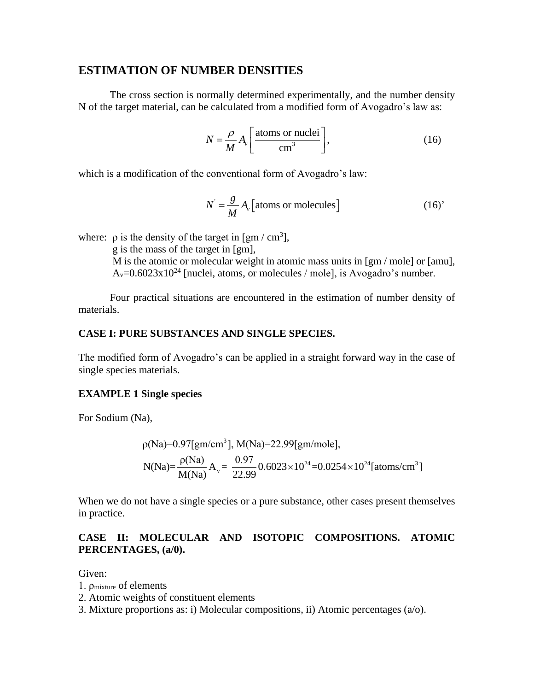#### **ESTIMATION OF NUMBER DENSITIES**

The cross section is normally determined experimentally, and the number density N of the target material, can be calculated from a modified form of Avogadro's law as:

$$
N = \frac{\rho}{M} A_{\nu} \left[ \frac{\text{atoms or nuclei}}{\text{cm}^3} \right],
$$
 (16)

which is a modification of the conventional form of Avogadro's law:

$$
N = \frac{g}{M} A_{\nu} \left[ \text{atoms or molecules} \right] \tag{16'}
$$

where:  $\rho$  is the density of the target in [gm / cm<sup>3</sup>],

g is the mass of the target in [gm], M is the atomic or molecular weight in atomic mass units in [gm / mole] or [amu],  $A_v=0.6023x10^{24}$  [nuclei, atoms, or molecules / mole], is Avogadro's number.

Four practical situations are encountered in the estimation of number density of materials.

#### **CASE I: PURE SUBSTANCES AND SINGLE SPECIES.**

The modified form of Avogadro's can be applied in a straight forward way in the case of single species materials.

#### **EXAMPLE 1 Single species**

For Sodium (Na),

Ia),  
\n
$$
\rho(Na)=0.97[gm/cm^3], M(Na)=22.99[gm/mole],
$$
\n
$$
N(Na)=\frac{\rho(Na)}{M(Na)}A_v=\frac{0.97}{22.99}0.6023\times10^{24}=0.0254\times10^{24}[atoms/cm^3]
$$

When we do not have a single species or a pure substance, other cases present themselves in practice.

#### **CASE II: MOLECULAR AND ISOTOPIC COMPOSITIONS. ATOMIC PERCENTAGES, (a/0).**

Given:

- 1. ρmixture of elements
- 2. Atomic weights of constituent elements
- 3. Mixture proportions as: i) Molecular compositions, ii) Atomic percentages (a/o).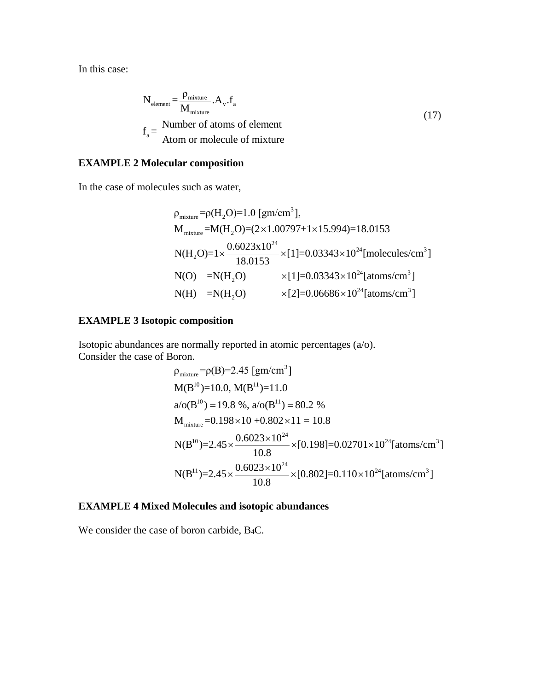In this case:

$$
N_{\text{element}} = \frac{\rho_{\text{mixture}}}{M_{\text{mixture}}} A_{\nu}.f_{a}
$$
  

$$
f_{a} = \frac{\text{Number of atoms of element}}{\text{Atom or molecule of mixture}}
$$
 (17)

#### **EXAMPLE 2 Molecular composition**

In the case of molecules such as water,  
\n
$$
\rho_{\text{mixture}} = \rho(H_2O) = 1.0 \text{ [gm/cm}^3\text{]},
$$
\n
$$
M_{\text{mixture}} = M(H_2O) = (2 \times 1.00797 + 1 \times 15.994) = 18.0153
$$
\n
$$
N(H_2O) = 1 \times \frac{0.6023 \times 10^{24}}{18.0153} \times [1] = 0.03343 \times 10^{24} \text{ [molecules/cm}^3\text{]}
$$
\n
$$
N(O) = N(H_2O) \times [1] = 0.03343 \times 10^{24} \text{ [atoms/cm}^3\text{]}
$$
\n
$$
N(H) = N(H_2O) \times [2] = 0.06686 \times 10^{24} \text{ [atoms/cm}^3\text{]}
$$

#### **EXAMPLE 3 Isotopic composition**

Isotopic abundances are normally reported in atomic percentages (a/o).<br>Consider the case of Boron.<br> $\rho_{\text{mixture}} = \rho(B) = 2.45 \text{ [gm/cm}^3\text{]}$ Consider the case of Boron.

$$
90000.
$$
\n
$$
\rho_{\text{mixture}} = \rho(B) = 2.45 \text{ [gm/cm}^3\text{]}
$$
\n
$$
M(B^{10}) = 10.0, M(B^{11}) = 11.0
$$
\n
$$
a/\sigma(B^{10}) = 19.8 \text{ %, } a/\sigma(B^{11}) = 80.2 \text{ %}
$$
\n
$$
M_{\text{mixture}} = 0.198 \times 10 + 0.802 \times 11 = 10.8
$$
\n
$$
N(B^{10}) = 2.45 \times \frac{0.6023 \times 10^{24}}{10.8} \times [0.198] = 0.02701 \times 10^{24} \text{ [atoms/cm}^3\text{]}
$$
\n
$$
N(B^{11}) = 2.45 \times \frac{0.6023 \times 10^{24}}{10.8} \times [0.802] = 0.110 \times 10^{24} \text{ [atoms/cm}^3\text{]}
$$

## **EXAMPLE 4 Mixed Molecules and isotopic abundances**

We consider the case of boron carbide, B4C.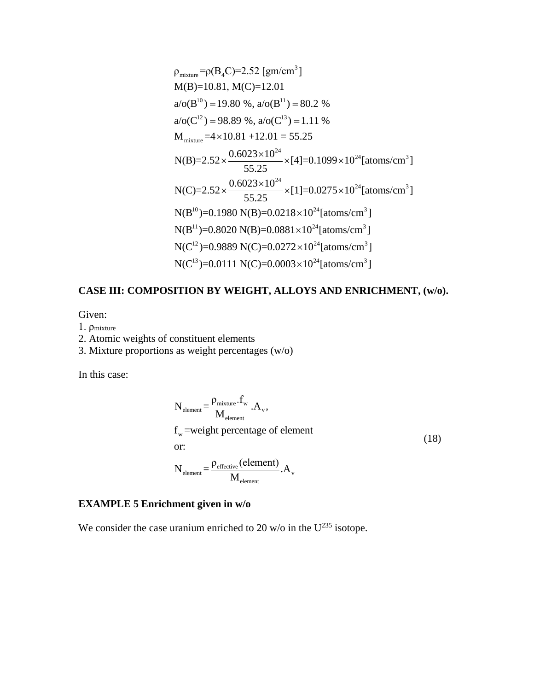$$
\rho_{mixture} = \rho(B_4C) = 2.52 \text{ [gm/cm}^3\text{]}
$$
  
\n
$$
M(B)=10.81, M(C)=12.01
$$
  
\n
$$
a/o(B^{10}) = 19.80 \text{ %, } a/o(B^{11}) = 80.2 \text{ %}
$$
  
\n
$$
a/o(C^{12}) = 98.89 \text{ %, } a/o(C^{13}) = 1.11 \text{ %}
$$
  
\n
$$
M_{mixture} = 4 \times 10.81 + 12.01 = 55.25
$$
  
\n
$$
N(B)=2.52 \times \frac{0.6023 \times 10^{24}}{55.25} \times [4] = 0.1099 \times 10^{24} \text{ [atoms/cm}^3\text{]}
$$
  
\n
$$
N(C)=2.52 \times \frac{0.6023 \times 10^{24}}{55.25} \times [1] = 0.0275 \times 10^{24} \text{ [atoms/cm}^3\text{]}
$$
  
\n
$$
N(B^{10})=0.1980 \text{ N}(B)=0.0218 \times 10^{24} \text{ [atoms/cm}^3\text{]}
$$
  
\n
$$
N(B^{11})=0.8020 \text{ N}(B)=0.0881 \times 10^{24} \text{ [atoms/cm}^3\text{]}
$$
  
\n
$$
N(C^{12})=0.9889 \text{ N}(C)=0.0272 \times 10^{24} \text{ [atoms/cm}^3\text{]}
$$
  
\n
$$
N(C^{13})=0.0111 \text{ N}(C)=0.0003 \times 10^{24} \text{ [atoms/cm}^3\text{]}
$$

# **CASE III: COMPOSITION BY WEIGHT, ALLOYS AND ENRICHMENT, (w/o).**

Given:

1. ρmixture

## 2. Atomic weights of constituent elements

3. Mixture proportions as weight percentages (w/o)

In this case:

$$
N_{\text{element}} = \frac{\rho_{\text{mixture}}.f_{\text{w}}}{M_{\text{element}}} A_{\text{v}},
$$
  
f<sub>w</sub> = weight percentage of element  
or:  

$$
N_{\text{element}} = \frac{\rho_{\text{effective}}(\text{element})}{M_{\text{element}}} A_{\text{v}}
$$
 (18)

### **EXAMPLE 5 Enrichment given in w/o**

We consider the case uranium enriched to 20 w/o in the  $U^{235}$  isotope.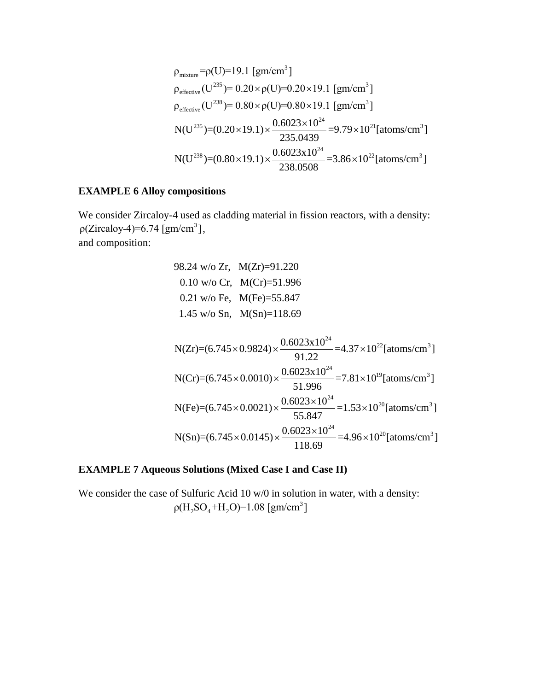$$
\rho_{\text{mixture}} = \rho(U) = 19.1 \text{ [gm/cm}^3\text{]}
$$
\n
$$
\rho_{\text{effective}}(U^{235}) = 0.20 \times \rho(U) = 0.20 \times 19.1 \text{ [gm/cm}^3\text{]}
$$
\n
$$
\rho_{\text{effective}}(U^{238}) = 0.80 \times \rho(U) = 0.80 \times 19.1 \text{ [gm/cm}^3\text{]}
$$
\n
$$
N(U^{235}) = (0.20 \times 19.1) \times \frac{0.6023 \times 10^{24}}{235.0439} = 9.79 \times 10^{21} \text{ [atoms/cm}^3\text{]}
$$
\n
$$
N(U^{238}) = (0.80 \times 19.1) \times \frac{0.6023 \times 10^{24}}{238.0508} = 3.86 \times 10^{22} \text{ [atoms/cm}^3\text{]}
$$

#### **EXAMPLE 6 Alloy compositions**

We consider Zircaloy-4 used as cladding material in fission reactors, with a density: 3 we consider  $\Sigma$ ncaloy-4 used as consider  $\Sigma$ ncaloy-4)=6.74 [gm/cm<sup>3</sup>], and composition:

98.24 w/o Zr, M(Zr)=91.220 0.10 w/o Cr, M(Cr)=51.996 0.21 w/o Fe, M(Fe)=55.847 1.45 w/o Sn, M(Sn)=118.69

N(Zr)=(6.745×0.9824) × 
$$
\frac{0.6023 \times 10^{24}}{91.22}
$$
 =4.37×10<sup>22</sup>[atoms/cm<sup>3</sup>]  
\nN(Cr)=(6.745×0.0010) ×  $\frac{0.6023 \times 10^{24}}{51.996}$  =7.81×10<sup>19</sup>[atoms/cm<sup>3</sup>]  
\nN(Fe)=(6.745×0.0021) ×  $\frac{0.6023 \times 10^{24}}{55.847}$  =1.53×10<sup>20</sup>[atoms/cm<sup>3</sup>]  
\nN(Sn)=(6.745×0.0145) ×  $\frac{0.6023 \times 10^{24}}{118.69}$  =4.96×10<sup>20</sup>[atoms/cm<sup>3</sup>]

## **EXAMPLE 7 Aqueous Solutions (Mixed Case I and Case II)**

We consider the case of Sulfuric Acid 10 w/0 in solution in water, with a density: 3  $p(H_2SO_4+H_2O)=1.08$  [gm/cm<sup>3</sup>]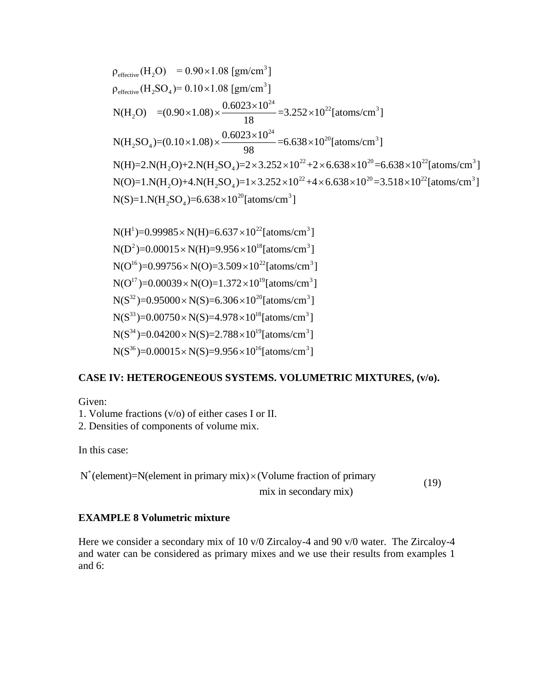$$
\rho_{effective} (H_2O) = 0.90 \times 1.08 \text{ [gm/cm}^3\text{]}
$$
\n
$$
\rho_{effective} (H_2SO_4) = 0.10 \times 1.08 \text{ [gm/cm}^3\text{]}
$$
\n
$$
N(H_2O) = (0.90 \times 1.08) \times \frac{0.6023 \times 10^{24}}{18} = 3.252 \times 10^{22} \text{ [atoms/cm}^3\text{]}
$$
\n
$$
N(H_2SO_4) = (0.10 \times 1.08) \times \frac{0.6023 \times 10^{24}}{98} = 6.638 \times 10^{20} \text{ [atoms/cm}^3\text{]}
$$
\n
$$
N(H) = 2.N(H_2O) + 2.N(H_2SO_4) = 2 \times 3.252 \times 10^{22} + 2 \times 6.638 \times 10^{20} = 6.638 \times 10^{22} \text{ [atoms/cm}^3\text{]}
$$
\n
$$
N(O) = 1.N(H_2O) + 4.N(H_2SO_4) = 1 \times 3.252 \times 10^{22} + 4 \times 6.638 \times 10^{20} = 3.518 \times 10^{22} \text{ [atoms/cm}^3\text{]}
$$
\n
$$
N(S) = 1.N(H_2SO_4) = 6.638 \times 10^{20} \text{ [atoms/cm}^3\text{]}
$$

 $1$ )=0.99985 × N(H)=6.637 × 10<sup>22</sup>  $N(S)=1.N(H<sub>2</sub>SO<sub>4</sub>)=6.638\times10<sup>20</sup>[atoms/cm<sup>3</sup>]  
\nN(H<sup>1</sup>)=0.99985\times N(H)=6.637\times10<sup>22</sup>[atoms/cm<sup>3</sup>]  
\nN(H<sup>1</sup>)=0.99985\times N(H)=6.637\times10<sup>22</sup>[atoms/cm<sup>3</sup>]  
\nN(H<sup>2</sup>)=0.99985\times N(H)=6.637\times10<sup>18</sup>F<sub>1</sub>$ <sup>1</sup>)=0.99985 × N(H)=6.637 × 10<sup>22</sup>[atoms/cm<sup>3</sup><br><sup>2</sup>)=0.00015 × N(H)=9.956 × 10<sup>18</sup>[atoms/cm<sup>3</sup> <sup>2</sup>)=0.00015 × N(H)=9.956 × 10<sup>18</sup> [atoms/cm<sup>3</sup>]<br>
<sup>16</sup>)=0.99756 × N(O)=3.509 × 10<sup>22</sup> [atoms/cm<sup>3</sup>]<br>
<sup>17</sup>)=0.00039 × N(O)=1.372 × 10<sup>19</sup> [atoms/cm<sup>3</sup>] <sup>16</sup>)=0.99756×N(O)=3.509×10<sup>22</sup>[atoms/cm<sup>3</sup><br><sup>17</sup>)=0.00039×N(O)=1.372×10<sup>19</sup>[atoms/cm<sup>3</sup>  $D^{17}$ )=0.00039 × N(O)=1.372 × 10<sup>19</sup> [atoms/cm<sup>32</sup>)=0.95000 × N(S)=6.306 × 10<sup>20</sup> [atoms/cm<sup>3</sup>  $N(S^{33})=0.00750\times N(S)=4.978\times10^{18}$ [atoms/cm<sup>3</sup>] ms/cm<sup>3</sup>]<br>[atoms/cm<sup>3</sup>]  $N(H^1)=0.99985 \times N(H)=6.637 \times 10^{22}$  [atoms/cm<sup>3</sup>]<br> $N(D^2)=0.00015 \times N(H)=9.956 \times 10^{18}$  [atoms/cm<sup>3</sup>] N(H<sup>1</sup>)=0.99985 × N(H)=6.637 × 10<sup>22</sup> [atoms/cm<sup>3</sup>]<br>N(D<sup>2</sup>)=0.00015 × N(H)=9.956 × 10<sup>18</sup> [atoms/cm<sup>3</sup>]<br>N(O<sup>16</sup>)=0.99756 × N(O)=3.509 × 10<sup>22</sup> [atoms/cm<sup>3</sup>] N(D<sup>2</sup>)=0.00015×N(H)=9.956×10<sup>18</sup>[atoms/cm<sup>3</sup>]<br>N(O<sup>16</sup>)=0.99756×N(O)=3.509×10<sup>22</sup>[atoms/cm<sup>3</sup>]<br>N(O<sup>17</sup>)=0.00039×N(O)=1.372×10<sup>19</sup>[atoms/cm<sup>3</sup>] N(O<sup>16</sup>)=0.99756×N(O)=3.509×10<sup>22</sup>[atoms/cm<sup>3</sup><br>N(O<sup>17</sup>)=0.00039×N(O)=1.372×10<sup>19</sup>[atoms/cm<sup>3</sup>]<br>N(S<sup>32</sup>)=0.95000×N(S)=6.306×10<sup>20</sup>[atoms/cm<sup>3</sup>]  $N(O^{17})=0.00039 \times N(O)=1.372$ <br>  $N(S^{32})=0.95000 \times N(S)=6.306$ <br>  $N(S^{33})=0.00750 \times N(S)=4.978$ <br>  $N(S^{34})=0.04200 \times N(S)=2.798$  $\times N(H) = 6.637 \times 10^{22}$  [atoms/cm ]<br> $\times N(H) = 9.956 \times 10^{18}$  [atoms/cm X N(H)=6.637 × 10<sup>22</sup> [atoms/cm<br>
X N(H)=9.956 × 10<sup>18</sup> [atoms/cm<br>
X N(O)=3.509 × 10<sup>22</sup> [atoms/cm  $\times N(O)=3.509\times10^{22}$  [atoms/c<br> $\times N(O)=1.372\times10^{19}$  [atoms/c<br> $\times N(S)=6.306\times10^{20}$  [atoms/cr  $1 \times N(O)=1.372 \times 10^{19}$  [atoms/cm<sup>3</sup>]<br> $1 \times N(S)=6.306 \times 10^{20}$  [atoms/cm<sup>3</sup>]<br> $1 \times N(S)=4.978 \times 10^{18}$  [atoms/cm<sup>3</sup>] 33<br>
34 = 0.00750 × N(S)=4.978 × 10<sup>18</sup> [atoms/cm<sup>3</sup><br>
34 = 0.04200 × N(S)=2.788 × 10<sup>19</sup> [atoms/cm<sup>3</sup> <sup>34</sup>)=0.04200 × N(S)=2.788 × 10<sup>19</sup> [atoms/cm<sup>3</sup><br>
<sup>36</sup>)=0.00015 × N(S)=9.956 × 10<sup>16</sup> [atoms/cm<sup>3</sup>  $N(S^{32})=0.95000\times N(S)=6.306\times10^{20}[\text{atoms/cm}^3]$ <br> $N(S^{33})=0.00750\times N(S)=4.978\times10^{18}[\text{atoms/cm}^3]$ <br> $N(S^{34})=0.04200\times N(S)=2.788\times10^{19}[\text{atoms/cm}^3]$ <br> $N(S^{36})=0.09015$   $N(S)=0.955\times10^{16}$   $\text{J}$   $(10^{36})$  $N(S^{33})=0.00750\times N(S)=4.978\times10^{18}[\text{atoms/cm}^3]$ <br> $N(S^{34})=0.04200\times N(S)=2.788\times10^{19}[\text{atoms/cm}^3]$ <br> $N(S^{36})=0.00015\times N(S)=9.956\times10^{16}[\text{atoms/cm}^3]$  $\times$  N(S)=6.306×10<sup>20</sup>[atoms/cr<br>  $\times$  N(S)=4.978×10<sup>18</sup>[atoms/cr<br>  $\times$  N(S)=2.788×10<sup>19</sup>[atoms/cr  $\times$  N(S)=4.978×10<sup>18</sup>[atoms/cn<br>  $\times$  N(S)=2.788×10<sup>19</sup>[atoms/cn<br>  $\times$  N(S)=9.956×10<sup>16</sup>[atoms/cn

#### **CASE IV: HETEROGENEOUS SYSTEMS. VOLUMETRIC MIXTURES, (v/o).**

Given:

1. Volume fractions (v/o) of either cases I or II.

2. Densities of components of volume mix.

In this case:

In this case:<br>N<sup>\*</sup>(element)=N(element in primary mix)  $\times$  (Volume fraction of primary mix in secondary mix)  $\times$ (19)

#### **EXAMPLE 8 Volumetric mixture**

Here we consider a secondary mix of 10 v/0 Zircaloy-4 and 90 v/0 water. The Zircaloy-4 and water can be considered as primary mixes and we use their results from examples 1 and 6: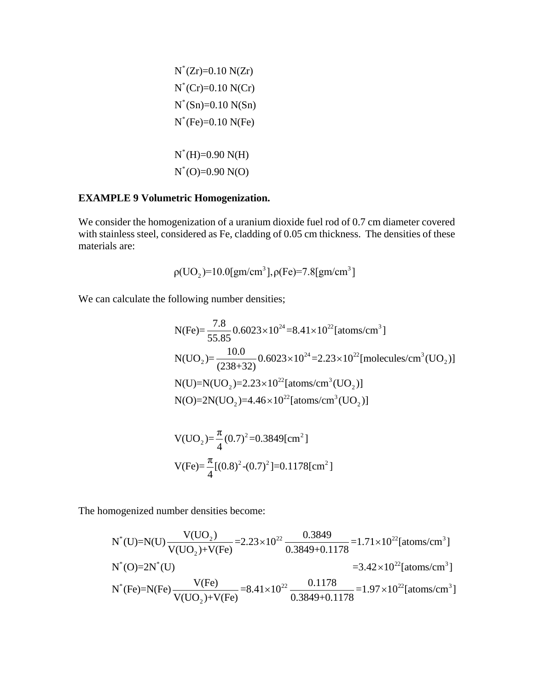$$
N^*(Zr)=0.10 N(Zr)
$$
  
\n
$$
N^*(Cr)=0.10 N(Cr)
$$
  
\n
$$
N^*(Sn)=0.10 N(Sn)
$$
  
\n
$$
N^*(Fe)=0.10 N(Fe)
$$
  
\n
$$
N^*(H)=0.90 N(H)
$$
  
\n
$$
N^*(O)=0.90 N(O)
$$

### **EXAMPLE 9 Volumetric Homogenization.**

We consider the homogenization of a uranium dioxide fuel rod of 0.7 cm diameter covered with stainless steel, considered as Fe, cladding of 0.05 cm thickness. The densities of these materials are:

$$
\rho(UO_2) = 10.0 [gm/cm^3], \rho(Fe) = 7.8 [gm/cm^3]
$$

We can calculate the following number densities;  
\n
$$
N(Fe) = \frac{7.8}{55.85} 0.6023 \times 10^{24} = 8.41 \times 10^{22} \text{ [atoms/cm}^3 \text{]}
$$
\n
$$
N(UO_2) = \frac{10.0}{(238+32)} 0.6023 \times 10^{24} = 2.23 \times 10^{22} \text{ [molecules/cm}^3 (\text{UO}_2) \text{]}
$$
\n
$$
N(U) = N(UO_2) = 2.23 \times 10^{22} \text{ [atoms/cm}^3 (\text{UO}_2) \text{]}
$$
\n
$$
N(O) = 2N(UO_2) = 4.46 \times 10^{22} \text{ [atoms/cm}^3 (\text{UO}_2) \text{]}
$$

V(UO<sub>2</sub>)=
$$
\frac{\pi}{4}
$$
(0.7)<sup>2</sup>=0.3849[cm<sup>2</sup>]  
V(Fe)= $\frac{\pi}{4}$ [(0.8)<sup>2</sup>-(0.7)<sup>2</sup>]=0.1178[cm<sup>2</sup>]

The homogenized number densities become:

mogenized number densities become:  
\n
$$
N^*(U)=N(U)\frac{V(UO_2)}{V(UO_2)+V(Fe)}=2.23\times10^{22}\frac{0.3849}{0.3849+0.1178}=1.71\times10^{22}[atoms/cm^3]
$$
\n
$$
N^*(O)=2N^*(U)
$$
\n
$$
=3.42\times10^{22}[atoms/cm^3]
$$
\n
$$
N^*(Fe)=N(Fe)\frac{V(Fe)}{V(UO_2)+V(Fe)}=8.41\times10^{22}\frac{0.1178}{0.3849+0.1178}=1.97\times10^{22}[atoms/cm^3]
$$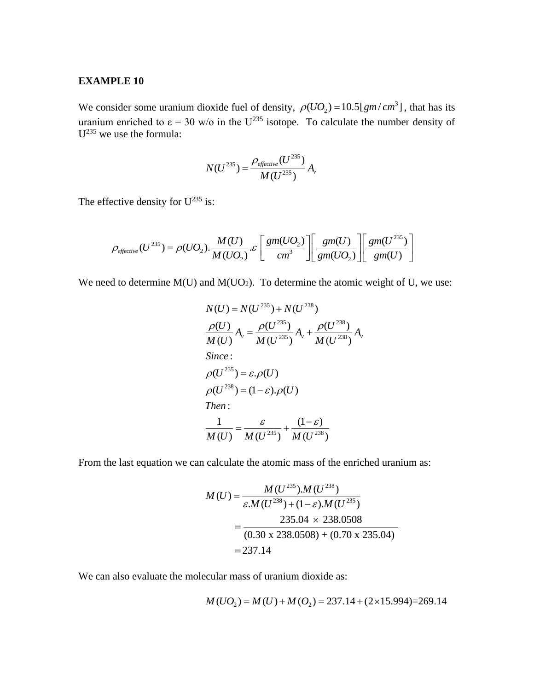#### **EXAMPLE 10**

We consider some uranium dioxide fuel of density,  $\rho(UO_2) = 10.5[gm/cm^3]$ , that has its uranium enriched to  $\varepsilon = 30$  w/o in the U<sup>235</sup> isotope. To calculate the number density of  $U^{235}$  we use the formula:

$$
N(U^{235}) = \frac{\rho_{effective}(U^{235})}{M(U^{235})} A_{v}
$$

The effective density for  $U^{235}$  is:

$$
\rho_{effective\ density\ for\ U^{2.5}} \text{ is:}
$$
\n
$$
\rho_{effective\ (U^{235})} = \rho(UO_2) \cdot \frac{M(U)}{M(UO_2)} \cdot \mathcal{E}\left[\frac{gm(UO_2)}{cm^3}\right] \left[\frac{gm(U)}{gm(UO_2)}\right] \left[\frac{gm(U^{235})}{gm(U)}\right]
$$

We need to determine  $M(U)$  and  $M(UO<sub>2</sub>)$ . To determine the atomic weight of U, we use:

$$
N(U) = N(U^{235}) + N(U^{238})
$$
  
\n
$$
\frac{\rho(U)}{M(U)} A_v = \frac{\rho(U^{235})}{M(U^{235})} A_v + \frac{\rho(U^{238})}{M(U^{238})} A_v
$$
  
\nSince:  
\n
$$
\rho(U^{235}) = \varepsilon \cdot \rho(U)
$$
  
\n
$$
\rho(U^{238}) = (1 - \varepsilon) \cdot \rho(U)
$$
  
\nThen:  
\n
$$
\frac{1}{M(U)} = \frac{\varepsilon}{M(U^{235})} + \frac{(1 - \varepsilon)}{M(U^{238})}
$$

From the last equation we can calculate the atomic mass of the enriched uranium as:

$$
M(U) = \frac{M(U^{235}) \cdot M(U^{238})}{\varepsilon M(U^{238}) + (1 - \varepsilon) \cdot M(U^{235})}
$$
  
= 
$$
\frac{235.04 \times 238.0508}{(0.30 \times 238.0508) + (0.70 \times 235.04)}
$$
  
= 237.14

We can also evaluate the molecular mass of uranium dioxide as:<br> $M(UO_2) = M(U) + M(O_2) = 237.14 + (2 \times 15.994) = 269.14$ 

$$
M(UO_2) = M(U) + M(O_2) = 237.14 + (2 \times 15.994) = 269.14
$$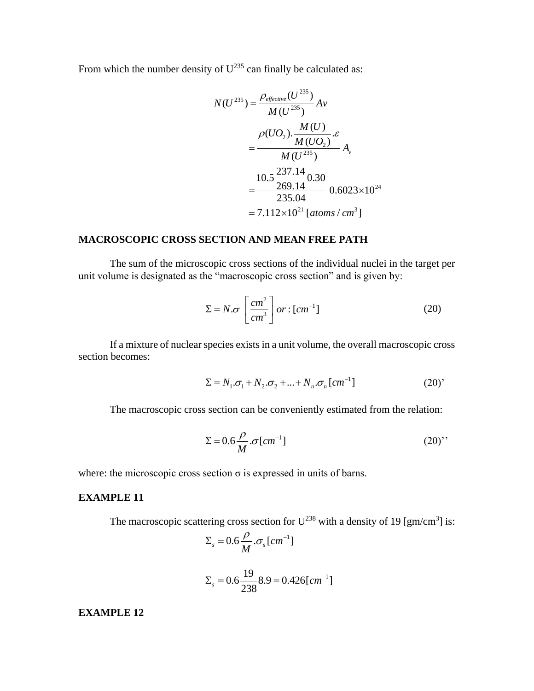From which the number density of  $U^{235}$  can finally be calculated as:

$$
N(U^{235}) = \frac{\rho_{effective}(U^{235})}{M(U^{235})}Av
$$
  
= 
$$
\frac{\rho(UO_2) \cdot \frac{M(U)}{M(UO_2)} \cdot \mathcal{E}}{M(U^{235})} A_v
$$
  
= 
$$
\frac{10.5 \frac{237.14}{269.14} 0.30}{235.04} = 0.6023 \times 10^{24}
$$
  
= 
$$
7.112 \times 10^{21} [atoms / cm^3]
$$

#### **MACROSCOPIC CROSS SECTION AND MEAN FREE PATH**

The sum of the microscopic cross sections of the individual nuclei in the target per unit volume is designated as the "macroscopic cross section" and is given by:

$$
\Sigma = N \cdot \sigma \left[ \frac{cm^2}{cm^3} \right] or : [cm^{-1}] \tag{20}
$$

If a mixture of nuclear species existsin a unit volume, the overall macroscopic cross section becomes:

$$
\Sigma = N_1 \cdot \sigma_1 + N_2 \cdot \sigma_2 + ... + N_n \cdot \sigma_n [cm^{-1}]
$$
 (20)

The macroscopic cross section can be conveniently estimated from the relation:

$$
\Sigma = 0.6 \frac{\rho}{M} . \sigma [cm^{-1}] \tag{20}'
$$

where: the microscopic cross section  $\sigma$  is expressed in units of barns.

#### **EXAMPLE 11**

The macroscopic scattering cross section for  $U^{238}$  with a density of 19 [gm/cm<sup>3</sup>] is:

$$
\Sigma_s = 0.6 \frac{\rho}{M} . \sigma_s [cm^{-1}]
$$

$$
\Sigma_s = 0.6 \frac{19}{238} 8.9 = 0.426 \, [cm^{-1}]
$$

**EXAMPLE 12**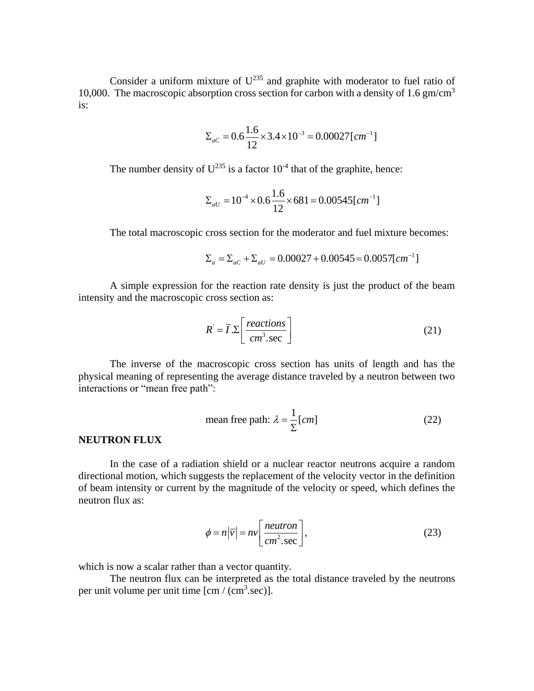Consider a uniform mixture of  $U^{235}$  and graphite with moderator to fuel ratio of 10,000. The macroscopic absorption cross section for carbon with a density of 1.6 gm/cm<sup>3</sup> is:

$$
\Sigma_{ac} = 0.6 \frac{1.6}{12} \times 3.4 \times 10^{-3} = 0.00027 \, [cm^{-1}]
$$

The number density of  $U^{235}$  is a factor  $10^{-4}$  that of the graphite, hence:

$$
\Sigma_{aU} = 10^{-4} \times 0.6 \frac{1.6}{12} \times 681 = 0.00545 \, [cm^{-1}]
$$

The total macroscopic cross section for the moderator and fuel mixture becomes:<br>  $\Sigma_a = \Sigma_{ac} + \Sigma_{ad} = 0.00027 + 0.00545 = 0.0057[cm^{-1}]$ 

$$
\Sigma_a = \Sigma_{ac} + \Sigma_{aU} = 0.00027 + 0.00545 = 0.0057 \text{[cm}^{-1}\text{]}
$$

A simple expression for the reaction rate density is just the product of the beam intensity and the macroscopic cross section as:

$$
R' = \overline{I} \cdot \Sigma \left[ \frac{reactions}{cm^3 \cdot sec} \right]
$$
 (21)

The inverse of the macroscopic cross section has units of length and has the physical meaning of representing the average distance traveled by a neutron between two interactions or "mean free path":

mean free path: 
$$
\lambda = \frac{1}{\Sigma} [cm]
$$
 (22)

#### **NEUTRON FLUX**

In the case of a radiation shield or a nuclear reactor neutrons acquire a random directional motion, which suggests the replacement of the velocity vector in the definition of beam intensity or current by the magnitude of the velocity or speed, which defines the neutron flux as:

$$
\phi = n|\overline{v}| = nv \left[ \frac{neutron}{cm^2 \cdot sec} \right],
$$
\n(23)

which is now a scalar rather than a vector quantity.

The neutron flux can be interpreted as the total distance traveled by the neutrons per unit volume per unit time  $[cm/(cm<sup>3</sup>.sec)]$ .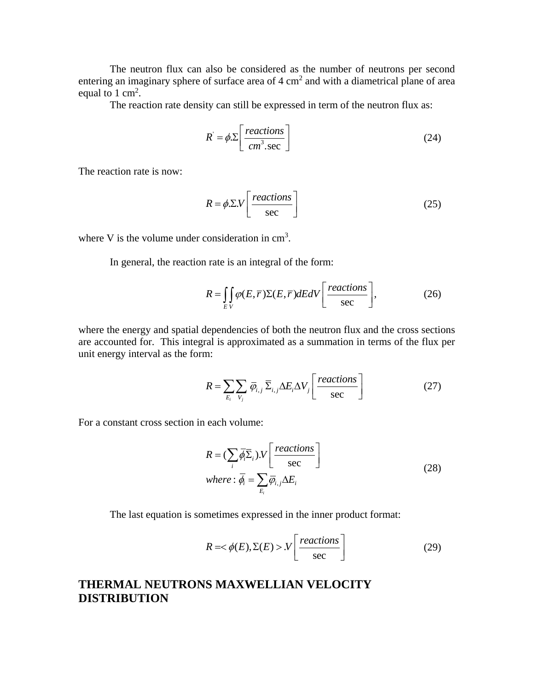The neutron flux can also be considered as the number of neutrons per second entering an imaginary sphere of surface area of  $4 \text{ cm}^2$  and with a diametrical plane of area equal to 1 cm<sup>2</sup>.

The reaction rate density can still be expressed in term of the neutron flux as:

$$
R = \phi \cdot \Sigma \left[ \frac{reactions}{cm^3 \cdot sec} \right]
$$
 (24)

The reaction rate is now:

$$
R = \phi . \Sigma . V \left[ \frac{reactions}{sec} \right]
$$
 (25)

where V is the volume under consideration in  $\text{cm}^3$ .

In general, the reaction rate is an integral of the form:

$$
R = \iint_{EV} \varphi(E, \overline{r}) \Sigma(E, \overline{r}) dEdV \left[ \frac{reactions}{sec} \right],
$$
 (26)

where the energy and spatial dependencies of both the neutron flux and the cross sections are accounted for. This integral is approximated as a summation in terms of the flux per unit energy interval as the form:

$$
R = \sum_{E_i} \sum_{V_j} \overline{\varphi}_{i,j} \overline{\Sigma}_{i,j} \Delta E_i \Delta V_j \left[ \frac{reactions}{sec} \right]
$$
 (27)

For a constant cross section in each volume:

$$
R = (\sum_{i} \overline{\phi_{i}} \overline{\Sigma}_{i}).V\left[\frac{reactions}{sec}\right]
$$
  
where:  $\overline{\phi_{i}} = \sum_{E_{i}} \overline{\phi_{i,j}} \Delta E_{i}$  (28)

The last equation is sometimes expressed in the inner product format:

$$
R = \langle \phi(E), \Sigma(E) \rangle N \left[ \frac{reactions}{sec} \right] \tag{29}
$$

## **THERMAL NEUTRONS MAXWELLIAN VELOCITY DISTRIBUTION**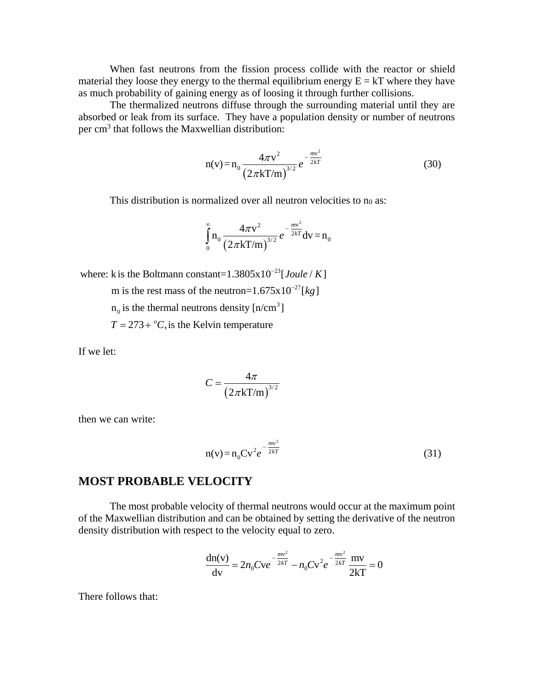When fast neutrons from the fission process collide with the reactor or shield material they loose they energy to the thermal equilibrium energy  $E = kT$  where they have as much probability of gaining energy as of loosing it through further collisions.

The thermalized neutrons diffuse through the surrounding material until they are absorbed or leak from its surface. They have a population density or number of neutrons per cm<sup>3</sup> that follows the Maxwellian distribution:

$$
n(v) = n_0 \frac{4\pi v^2}{\left(2\pi k \Gamma/m\right)^{3/2}} e^{-\frac{mv^2}{2kT}}
$$
(30)

This distribution is normalized over all neutron velocities to no as:

$$
\int_{0}^{\infty} n_0 \frac{4\pi v^2}{\left(2\pi kT/m\right)^{3/2}} e^{-\frac{mv^2}{2kT}} dv = n_0
$$

23 where: k is the Boltmann constant=1.3805x10<sup>-23</sup>[*Joule / K*] k is the Boltmann constant=1.3805x10<sup>-23</sup>[*Joule / k* m is the rest mass of the neutron=1.675x10<sup>-27</sup>[*kg*] *Joule K*  $\overline{a}$ 

27 *kg* m is the rest mass of the neutron=1.675x1<br> $n_0$  is the thermal neutrons density [n/cm<sup>3</sup>]

3

 $n_0$  is the thermal neutrons density [n/cn<br> $T = 273 + {^o}C$ , is the Kelvin temperature

If we let:

$$
C = \frac{4\pi}{\left(2\pi kT/m\right)^{3/2}}
$$

then we can write:

$$
n(v) = n_0 C v^2 e^{-\frac{mv^2}{2kT}}
$$
\n(31)

#### **MOST PROBABLE VELOCITY**

The most probable velocity of thermal neutrons would occur at the maximum point of the Maxwellian distribution and can be obtained by setting the derivative of the neutron density distribution with respect to the velocity equal to zero.

$$
\frac{dn(v)}{dv} = 2n_0Cve^{-\frac{mv^2}{2kT}} - n_0CV^2e^{-\frac{mv^2}{2kT}}\frac{mv}{2kT} = 0
$$

There follows that: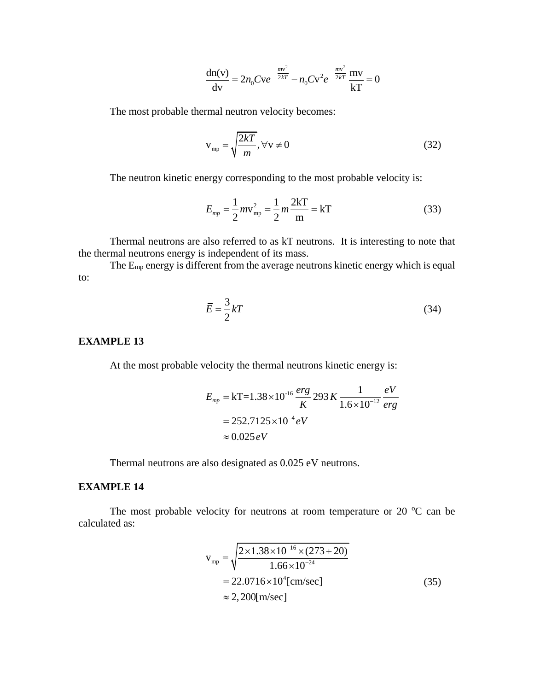$$
\frac{dn(v)}{dv} = 2n_0Cve^{-\frac{mv^2}{2kT}} - n_0Cv^2e^{-\frac{mv^2}{2kT}}\frac{mv}{kT} = 0
$$

The most probable thermal neutron velocity becomes:

$$
v_{mp} = \sqrt{\frac{2kT}{m}}, \forall v \neq 0
$$
 (32)

The neutron kinetic energy corresponding to the most probable velocity is:

$$
E_{mp} = \frac{1}{2} m v_{mp}^2 = \frac{1}{2} m \frac{2kT}{m} = kT
$$
 (33)

Thermal neutrons are also referred to as kT neutrons. It is interesting to note that the thermal neutrons energy is independent of its mass.

The Emp energy is different from the average neutrons kinetic energy which is equal to:

$$
\overline{E} = \frac{3}{2}kT\tag{34}
$$

#### **EXAMPLE 13**

At the most probable velocity the thermal neutrons kinetic energy is:

$$
E_{mp} = kT = 1.38 \times 10^{-16} \frac{erg}{K} \cdot 293 K \frac{1}{1.6 \times 10^{-12}} \frac{eV}{erg}
$$
  
= 252.7125 × 10<sup>-4</sup> eV  
≈ 0.025 eV

Thermal neutrons are also designated as 0.025 eV neutrons.

#### **EXAMPLE 14**

The most probable velocity for neutrons at room temperature or 20  $^{\circ}$ C can be calculated as:

$$
v_{mp} = \sqrt{\frac{2 \times 1.38 \times 10^{-16} \times (273 + 20)}{1.66 \times 10^{-24}}}
$$
  
= 22.0716×10<sup>4</sup>[cm/sec]  
 $\approx$  2,200[m/sec] (35)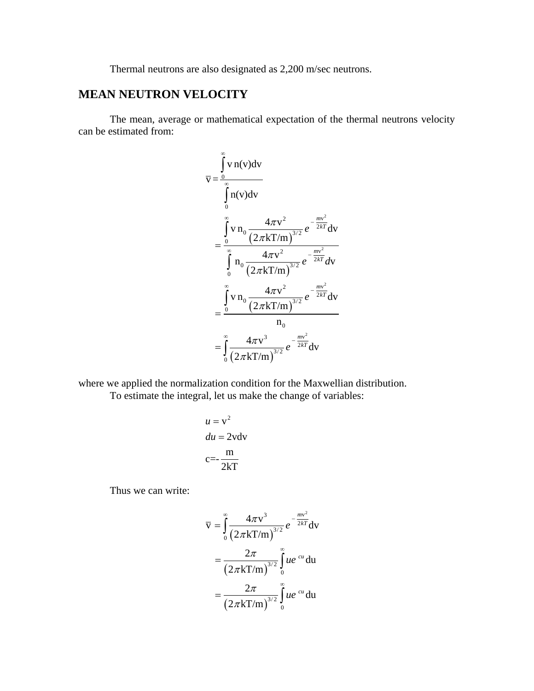Thermal neutrons are also designated as 2,200 m/sec neutrons.

## **MEAN NEUTRON VELOCITY**

The mean, average or mathematical expectation of the thermal neutrons velocity can be estimated from:

$$
\overline{v} = \frac{\int_{0}^{\infty} v \, n(v) dv}{\int_{0}^{\infty} n(v) dv}
$$
\n
$$
= \frac{\int_{0}^{\infty} v \, n_{0} \, \frac{4\pi v^{2}}{(2\pi k \text{T/m})^{3/2}} e^{-\frac{mv^{2}}{2kT}} dv}{\int_{0}^{\infty} n_{0} \, \frac{4\pi v^{2}}{(2\pi k \text{T/m})^{3/2}} e^{-\frac{mv^{2}}{2kT}} dv}
$$
\n
$$
= \frac{\int_{0}^{\infty} v \, n_{0} \, \frac{4\pi v^{2}}{(2\pi k \text{T/m})^{3/2}} e^{-\frac{mv^{2}}{2kT}} dv}{n_{0}}
$$
\n
$$
= \int_{0}^{\infty} \frac{4\pi v^{3}}{(2\pi k \text{T/m})^{3/2}} e^{-\frac{mv^{2}}{2kT}} dv
$$

where we applied the normalization condition for the Maxwellian distribution. To estimate the integral, let us make the change of variables:

$$
u = v2
$$
  

$$
du = 2vdv
$$
  

$$
c = -\frac{m}{2kT}
$$

Thus we can write:

$$
\overline{v} = \int_{0}^{\infty} \frac{4\pi v^{3}}{(2\pi kT/m)^{3/2}} e^{-\frac{mv^{2}}{2kT}} dv
$$

$$
= \frac{2\pi}{(2\pi kT/m)^{3/2}} \int_{0}^{\infty} ue^{-cu} du
$$

$$
= \frac{2\pi}{(2\pi kT/m)^{3/2}} \int_{0}^{\infty} ue^{-cu} du
$$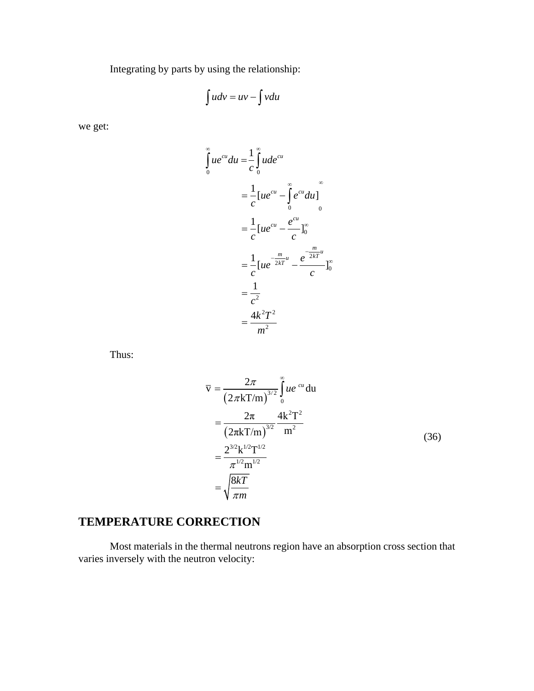Integrating by parts by using the relationship:

$$
\int u dv = uv - \int v du
$$

we get:

$$
\int_{0}^{\infty} ue^{cu} du = \frac{1}{c} \int_{0}^{\infty} u de^{cu}
$$
  
=  $\frac{1}{c} [ue^{cu} - \int_{0}^{\infty} e^{cu} du]$   
=  $\frac{1}{c} [ue^{cu} - \frac{e^{cu}}{c}]_{0}^{\infty}$   
=  $\frac{1}{c} [ue^{-\frac{m}{2kT}u} - \frac{e^{-\frac{m}{2kT}u}}{c}]_{0}^{\infty}$   
=  $\frac{1}{c^{2}}$   
=  $\frac{4k^{2}T^{2}}{m^{2}}$ 

Thus:

$$
\overline{v} = \frac{2\pi}{(2\pi kT/m)^{3/2}} \int_{0}^{\infty} ue^{-cu} du
$$
  
= 
$$
\frac{2\pi}{(2\pi kT/m)^{3/2}} \frac{4k^{2}T^{2}}{m^{2}}
$$
  
= 
$$
\frac{2^{3/2}k^{1/2}T^{1/2}}{\pi^{1/2}m^{1/2}}
$$
  
= 
$$
\sqrt{\frac{8kT}{\pi m}}
$$
 (36)

## **TEMPERATURE CORRECTION**

Most materials in the thermal neutrons region have an absorption cross section that varies inversely with the neutron velocity: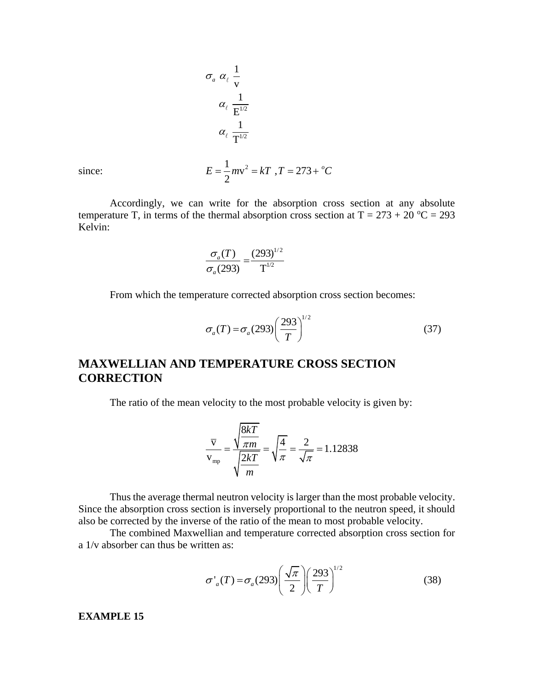$$
\sigma_a \alpha_\ell \frac{1}{v}
$$
  
\n
$$
\alpha_\ell \frac{1}{E^{1/2}}
$$
  
\n
$$
\alpha_\ell \frac{1}{T^{1/2}}
$$
  
\n
$$
E = \frac{1}{2} m v^2 = kT, T = 273 + {^{\circ}C}
$$

since:

Accordingly, we can write for the absorption cross section at any absolute temperature T, in terms of the thermal absorption cross section at  $T = 273 + 20$  °C = 293 Kelvin:

$$
\frac{\sigma_a(T)}{\sigma_a(293)} = \frac{(293)^{1/2}}{T^{1/2}}
$$

From which the temperature corrected absorption cross section becomes:

$$
\sigma_a(T) = \sigma_a(293) \left(\frac{293}{T}\right)^{1/2} \tag{37}
$$

## **MAXWELLIAN AND TEMPERATURE CROSS SECTION CORRECTION**

The ratio of the mean velocity to the most probable velocity is given by:

$$
\frac{\overline{\text{v}}}{\text{v}_{\text{mp}}} = \frac{\sqrt{\frac{8kT}{\pi m}}}{\sqrt{\frac{2kT}{m}}} = \sqrt{\frac{4}{\pi}} = \frac{2}{\sqrt{\pi}} = 1.12838
$$

Thus the average thermal neutron velocity is larger than the most probable velocity. Since the absorption cross section is inversely proportional to the neutron speed, it should also be corrected by the inverse of the ratio of the mean to most probable velocity.

The combined Maxwellian and temperature corrected absorption cross section for a 1/v absorber can thus be written as:

$$
\sigma'_a(T) = \sigma_a(293) \left(\frac{\sqrt{\pi}}{2}\right) \left(\frac{293}{T}\right)^{1/2}
$$
 (38)

**EXAMPLE 15**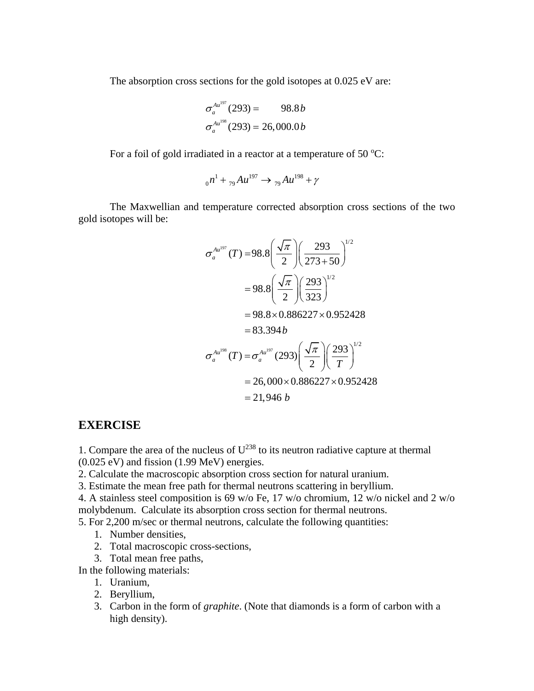The absorption cross sections for the gold isotopes at 0.025 eV are:

$$
\sigma_a^{Au^{197}}(293) = 98.8b
$$

$$
\sigma_a^{Au^{198}}(293) = 26,000.0b
$$

For a foil of gold irradiated in a reactor at a temperature of 50  $^{\circ}$ C:

$$
_{0}n^{1} +_{79}Au^{197} \rightarrow_{79}Au^{198} + \gamma
$$

The Maxwellian and temperature corrected absorption cross sections of the two gold isotopes will be:

$$
\sigma_a^{Au^{197}}(T) = 98.8 \left( \frac{\sqrt{\pi}}{2} \right) \left( \frac{293}{273 + 50} \right)^{1/2}
$$
  
= 98.8 \left( \frac{\sqrt{\pi}}{2} \right) \left( \frac{293}{323} \right)^{1/2}  
= 98.8 \times 0.886227 \times 0.952428  
= 83.394 b  

$$
\sigma_a^{Au^{198}}(T) = \sigma_a^{Au^{197}}(293) \left( \frac{\sqrt{\pi}}{2} \right) \left( \frac{293}{T} \right)^{1/2}
$$
  
= 26,000 × 0.886227 × 0.952428  
= 21,946 b

### **EXERCISE**

1. Compare the area of the nucleus of  $U^{238}$  to its neutron radiative capture at thermal  $(0.025 \text{ eV})$  and fission  $(1.99 \text{ MeV})$  energies.

2. Calculate the macroscopic absorption cross section for natural uranium.

3. Estimate the mean free path for thermal neutrons scattering in beryllium.

4. A stainless steel composition is 69 w/o Fe, 17 w/o chromium, 12 w/o nickel and 2 w/o molybdenum. Calculate its absorption cross section for thermal neutrons.

5. For 2,200 m/sec or thermal neutrons, calculate the following quantities:

- 1. Number densities,
- 2. Total macroscopic cross-sections,
- 3. Total mean free paths,

In the following materials:

- 1. Uranium,
- 2. Beryllium,
- 3. Carbon in the form of *graphite*. (Note that diamonds is a form of carbon with a high density).